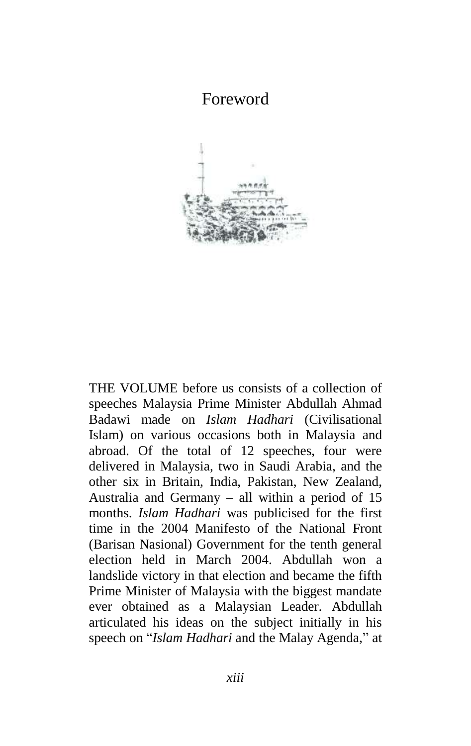## Foreword



THE VOLUME before us consists of a collection of speeches Malaysia Prime Minister Abdullah Ahmad Badawi made on *Islam Hadhari* (Civilisational Islam) on various occasions both in Malaysia and abroad. Of the total of 12 speeches, four were delivered in Malaysia, two in Saudi Arabia, and the other six in Britain, India, Pakistan, New Zealand, Australia and Germany – all within a period of 15 months. *Islam Hadhari* was publicised for the first time in the 2004 Manifesto of the National Front (Barisan Nasional) Government for the tenth general election held in March 2004. Abdullah won a landslide victory in that election and became the fifth Prime Minister of Malaysia with the biggest mandate ever obtained as a Malaysian Leader. Abdullah articulated his ideas on the subject initially in his speech on "*Islam Hadhari* and the Malay Agenda," at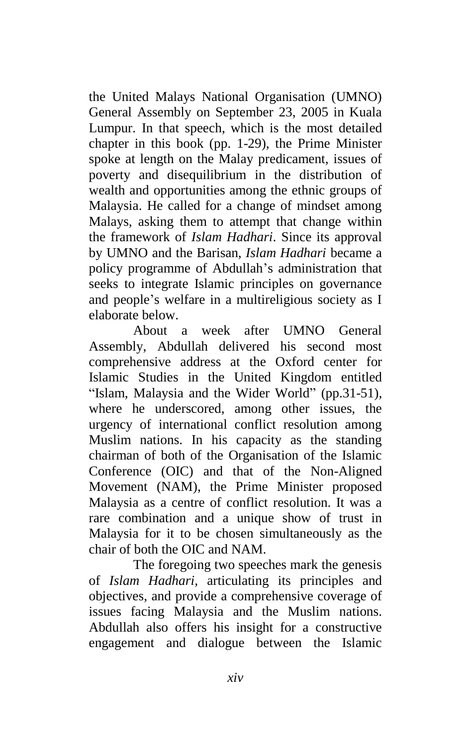the United Malays National Organisation (UMNO) General Assembly on September 23, 2005 in Kuala Lumpur. In that speech, which is the most detailed chapter in this book (pp. 1-29), the Prime Minister spoke at length on the Malay predicament, issues of poverty and disequilibrium in the distribution of wealth and opportunities among the ethnic groups of Malaysia. He called for a change of mindset among Malays, asking them to attempt that change within the framework of *Islam Hadhari*. Since its approval by UMNO and the Barisan, *Islam Hadhari* became a policy programme of Abdullah's administration that seeks to integrate Islamic principles on governance and people's welfare in a multireligious society as I elaborate below.

About a week after UMNO General Assembly, Abdullah delivered his second most comprehensive address at the Oxford center for Islamic Studies in the United Kingdom entitled "Islam, Malaysia and the Wider World" (pp.31-51), where he underscored, among other issues, the urgency of international conflict resolution among Muslim nations. In his capacity as the standing chairman of both of the Organisation of the Islamic Conference (OIC) and that of the Non-Aligned Movement (NAM), the Prime Minister proposed Malaysia as a centre of conflict resolution. It was a rare combination and a unique show of trust in Malaysia for it to be chosen simultaneously as the chair of both the OIC and NAM.

The foregoing two speeches mark the genesis of *Islam Hadhari,* articulating its principles and objectives, and provide a comprehensive coverage of issues facing Malaysia and the Muslim nations. Abdullah also offers his insight for a constructive engagement and dialogue between the Islamic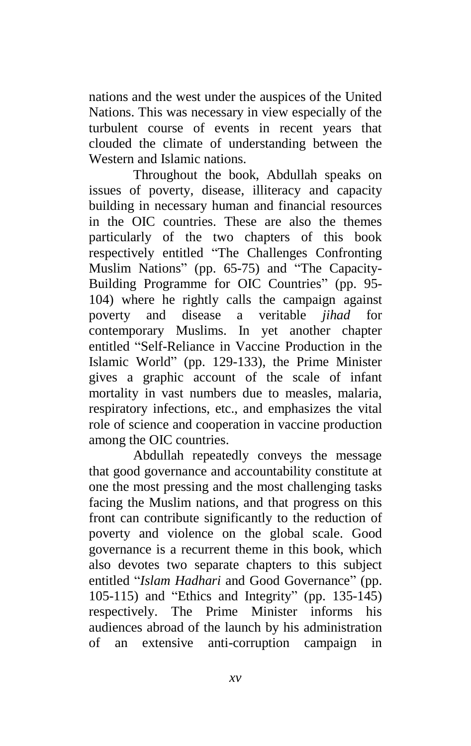nations and the west under the auspices of the United Nations. This was necessary in view especially of the turbulent course of events in recent years that clouded the climate of understanding between the Western and Islamic nations.

Throughout the book, Abdullah speaks on issues of poverty, disease, illiteracy and capacity building in necessary human and financial resources in the OIC countries. These are also the themes particularly of the two chapters of this book respectively entitled "The Challenges Confronting Muslim Nations" (pp. 65-75) and "The Capacity-Building Programme for OIC Countries" (pp. 95-104) where he rightly calls the campaign against poverty and disease a veritable *jihad* for contemporary Muslims. In yet another chapter entitled "Self-Reliance in Vaccine Production in the Islamic World" (pp. 129-133), the Prime Minister gives a graphic account of the scale of infant mortality in vast numbers due to measles, malaria, respiratory infections, etc., and emphasizes the vital role of science and cooperation in vaccine production among the OIC countries.

Abdullah repeatedly conveys the message that good governance and accountability constitute at one the most pressing and the most challenging tasks facing the Muslim nations, and that progress on this front can contribute significantly to the reduction of poverty and violence on the global scale. Good governance is a recurrent theme in this book, which also devotes two separate chapters to this subject entitled "*Islam Hadhari* and Good Governance" (pp. 105-115) and "Ethics and Integrity" (pp. 135-145) respectively. The Prime Minister informs his audiences abroad of the launch by his administration of an extensive anti-corruption campaign in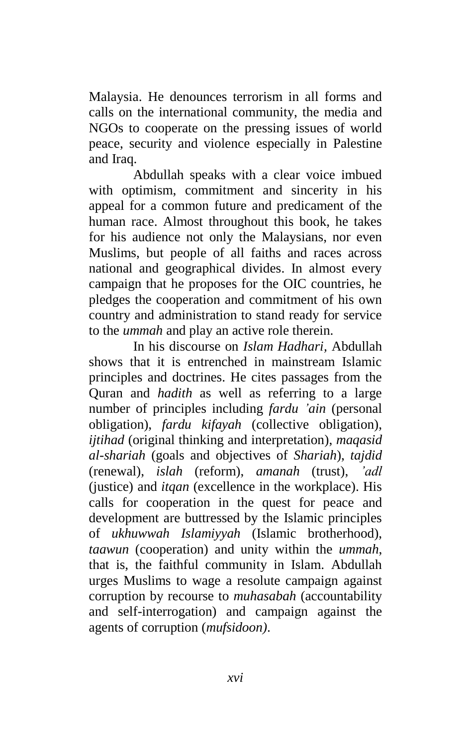Malaysia. He denounces terrorism in all forms and calls on the international community, the media and NGOs to cooperate on the pressing issues of world peace, security and violence especially in Palestine and Iraq.

Abdullah speaks with a clear voice imbued with optimism, commitment and sincerity in his appeal for a common future and predicament of the human race. Almost throughout this book, he takes for his audience not only the Malaysians, nor even Muslims, but people of all faiths and races across national and geographical divides. In almost every campaign that he proposes for the OIC countries, he pledges the cooperation and commitment of his own country and administration to stand ready for service to the *ummah* and play an active role therein.

In his discourse on *Islam Hadhari,* Abdullah shows that it is entrenched in mainstream Islamic principles and doctrines. He cites passages from the Quran and *hadith* as well as referring to a large number of principles including *fardu 'ain* (personal obligation), *fardu kifayah* (collective obligation), *ijtihad* (original thinking and interpretation), *maqasid al-shariah* (goals and objectives of *Shariah*), *tajdid*  (renewal), *islah* (reform), *amanah* (trust), *'adl* (justice) and *itqan* (excellence in the workplace). His calls for cooperation in the quest for peace and development are buttressed by the Islamic principles of *ukhuwwah Islamiyyah* (Islamic brotherhood), *taawun* (cooperation) and unity within the *ummah*, that is, the faithful community in Islam. Abdullah urges Muslims to wage a resolute campaign against corruption by recourse to *muhasabah* (accountability and self-interrogation) and campaign against the agents of corruption (*mufsidoon)*.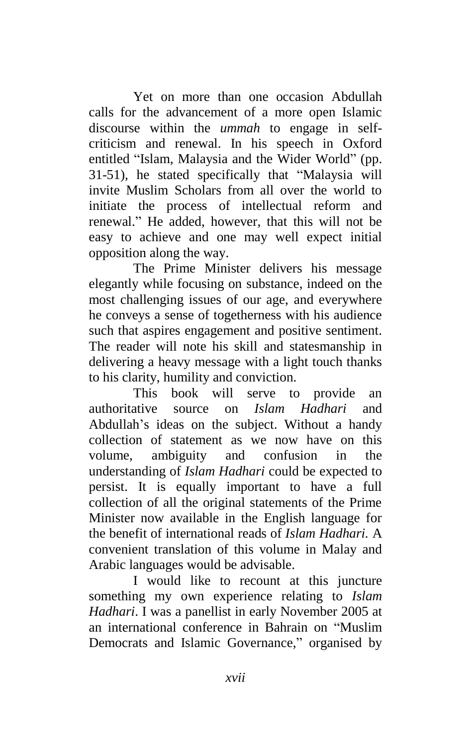Yet on more than one occasion Abdullah calls for the advancement of a more open Islamic discourse within the *ummah* to engage in selfcriticism and renewal. In his speech in Oxford entitled "Islam, Malaysia and the Wider World" (pp. 31-51), he stated specifically that "Malaysia will invite Muslim Scholars from all over the world to initiate the process of intellectual reform and renewal." He added, however, that this will not be easy to achieve and one may well expect initial opposition along the way.

The Prime Minister delivers his message elegantly while focusing on substance, indeed on the most challenging issues of our age, and everywhere he conveys a sense of togetherness with his audience such that aspires engagement and positive sentiment. The reader will note his skill and statesmanship in delivering a heavy message with a light touch thanks to his clarity, humility and conviction.

This book will serve to provide an authoritative source on *Islam Hadhari* and Abdullah's ideas on the subject. Without a handy collection of statement as we now have on this volume, ambiguity and confusion in the understanding of *Islam Hadhari* could be expected to persist. It is equally important to have a full collection of all the original statements of the Prime Minister now available in the English language for the benefit of international reads of *Islam Hadhari.* A convenient translation of this volume in Malay and Arabic languages would be advisable.

I would like to recount at this juncture something my own experience relating to *Islam Hadhari*. I was a panellist in early November 2005 at an international conference in Bahrain on "Muslim Democrats and Islamic Governance," organised by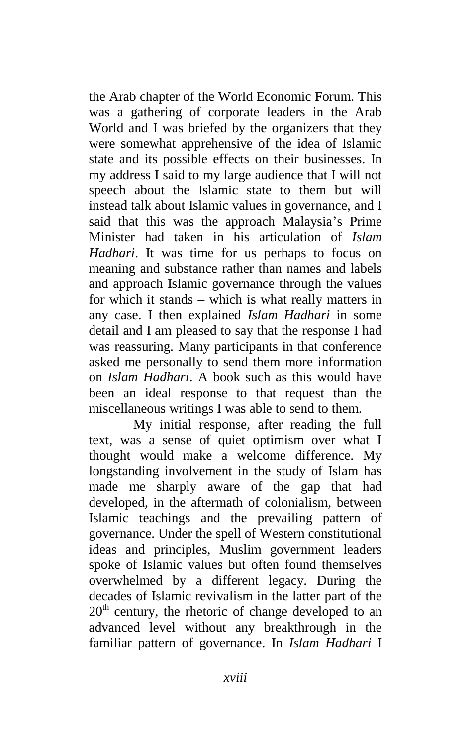the Arab chapter of the World Economic Forum. This was a gathering of corporate leaders in the Arab World and I was briefed by the organizers that they were somewhat apprehensive of the idea of Islamic state and its possible effects on their businesses. In my address I said to my large audience that I will not speech about the Islamic state to them but will instead talk about Islamic values in governance, and I said that this was the approach Malaysia's Prime Minister had taken in his articulation of *Islam Hadhari*. It was time for us perhaps to focus on meaning and substance rather than names and labels and approach Islamic governance through the values for which it stands – which is what really matters in any case. I then explained *Islam Hadhari* in some detail and I am pleased to say that the response I had was reassuring. Many participants in that conference asked me personally to send them more information on *Islam Hadhari*. A book such as this would have been an ideal response to that request than the miscellaneous writings I was able to send to them.

My initial response, after reading the full text, was a sense of quiet optimism over what I thought would make a welcome difference. My longstanding involvement in the study of Islam has made me sharply aware of the gap that had developed, in the aftermath of colonialism, between Islamic teachings and the prevailing pattern of governance. Under the spell of Western constitutional ideas and principles, Muslim government leaders spoke of Islamic values but often found themselves overwhelmed by a different legacy. During the decades of Islamic revivalism in the latter part of the  $20<sup>th</sup>$  century, the rhetoric of change developed to an advanced level without any breakthrough in the familiar pattern of governance. In *Islam Hadhari* I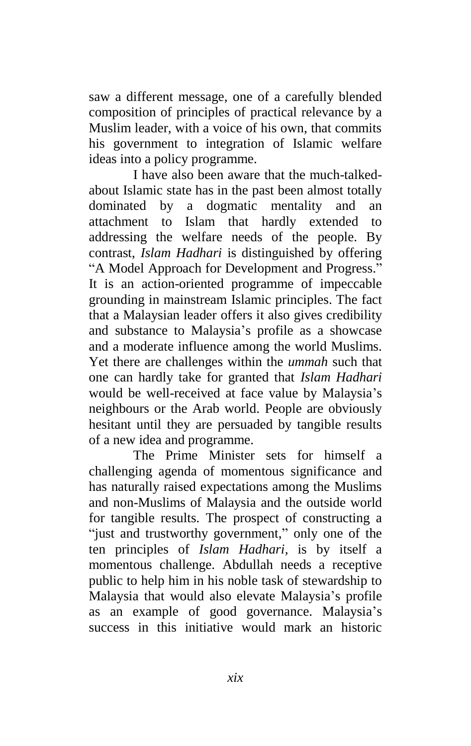saw a different message, one of a carefully blended composition of principles of practical relevance by a Muslim leader, with a voice of his own, that commits his government to integration of Islamic welfare ideas into a policy programme.

I have also been aware that the much-talkedabout Islamic state has in the past been almost totally dominated by a dogmatic mentality and an attachment to Islam that hardly extended to addressing the welfare needs of the people. By contrast, *Islam Hadhari* is distinguished by offering "A Model Approach for Development and Progress." It is an action-oriented programme of impeccable grounding in mainstream Islamic principles. The fact that a Malaysian leader offers it also gives credibility and substance to Malaysia's profile as a showcase and a moderate influence among the world Muslims. Yet there are challenges within the *ummah* such that one can hardly take for granted that *Islam Hadhari* would be well-received at face value by Malaysia's neighbours or the Arab world. People are obviously hesitant until they are persuaded by tangible results of a new idea and programme.

The Prime Minister sets for himself a challenging agenda of momentous significance and has naturally raised expectations among the Muslims and non-Muslims of Malaysia and the outside world for tangible results. The prospect of constructing a "just and trustworthy government," only one of the ten principles of *Islam Hadhari,* is by itself a momentous challenge. Abdullah needs a receptive public to help him in his noble task of stewardship to Malaysia that would also elevate Malaysia's profile as an example of good governance. Malaysia's success in this initiative would mark an historic